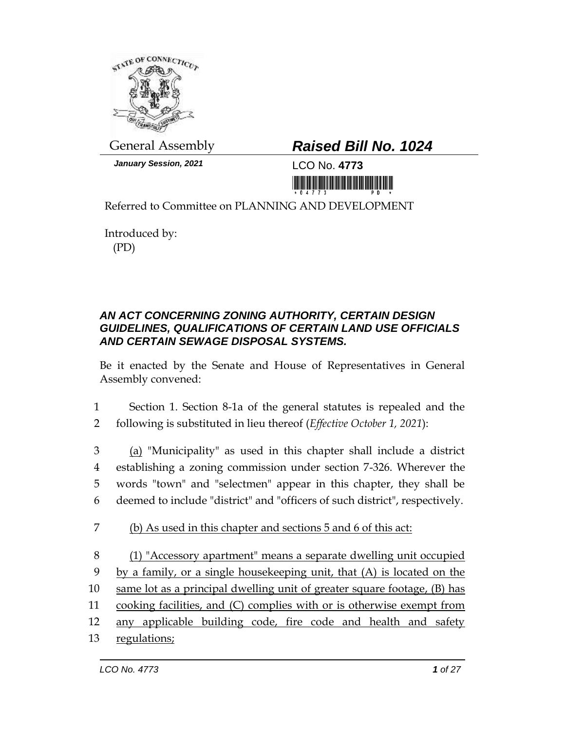

*January Session, 2021* 1 CO No. 4773

# General Assembly *Raised Bill No. 1024*

<u>Ti mini katika katika katika katika katika katika katika katika katika katika katika katika katika katika kati</u>

Referred to Committee on PLANNING AND DEVELOPMENT

Introduced by: (PD)

#### *AN ACT CONCERNING ZONING AUTHORITY, CERTAIN DESIGN GUIDELINES, QUALIFICATIONS OF CERTAIN LAND USE OFFICIALS AND CERTAIN SEWAGE DISPOSAL SYSTEMS.*

Be it enacted by the Senate and House of Representatives in General Assembly convened:

1 Section 1. Section 8-1a of the general statutes is repealed and the 2 following is substituted in lieu thereof (*Effective October 1, 2021*):

 (a) "Municipality" as used in this chapter shall include a district establishing a zoning commission under section 7-326. Wherever the words "town" and "selectmen" appear in this chapter, they shall be deemed to include "district" and "officers of such district", respectively.

- 7 (b) As used in this chapter and sections 5 and 6 of this act:
- 8 (1) "Accessory apartment" means a separate dwelling unit occupied 9 by a family, or a single housekeeping unit, that (A) is located on the 10 same lot as a principal dwelling unit of greater square footage, (B) has 11 cooking facilities, and (C) complies with or is otherwise exempt from 12 any applicable building code, fire code and health and safety 13 regulations;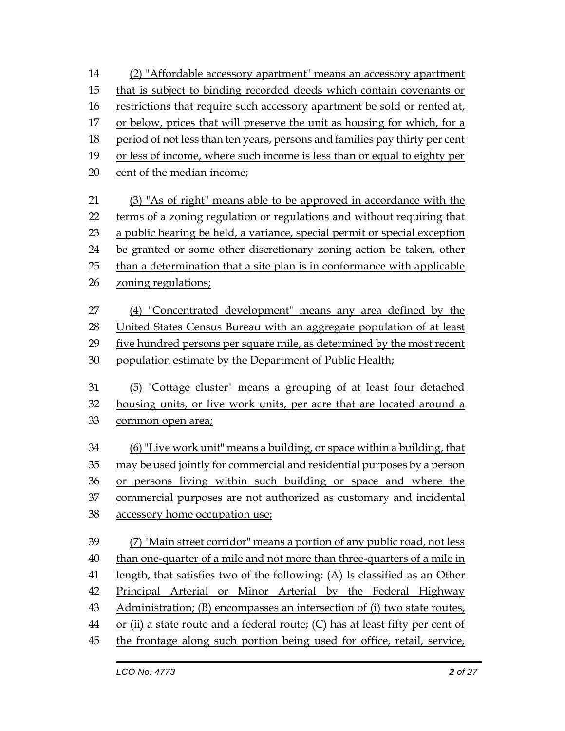- (2) "Affordable accessory apartment" means an accessory apartment
- that is subject to binding recorded deeds which contain covenants or
- restrictions that require such accessory apartment be sold or rented at,
- or below, prices that will preserve the unit as housing for which, for a
- period of not less than ten years, persons and families pay thirty per cent
- or less of income, where such income is less than or equal to eighty per
- cent of the median income;
- (3) "As of right" means able to be approved in accordance with the terms of a zoning regulation or regulations and without requiring that a public hearing be held, a variance, special permit or special exception be granted or some other discretionary zoning action be taken, other than a determination that a site plan is in conformance with applicable
- 26 zoning regulations;
- (4) "Concentrated development" means any area defined by the 28 United States Census Bureau with an aggregate population of at least five hundred persons per square mile, as determined by the most recent population estimate by the Department of Public Health;
- (5) "Cottage cluster" means a grouping of at least four detached housing units, or live work units, per acre that are located around a common open area;
- (6) "Live work unit" means a building, or space within a building, that may be used jointly for commercial and residential purposes by a person or persons living within such building or space and where the commercial purposes are not authorized as customary and incidental accessory home occupation use;
- (7) "Main street corridor" means a portion of any public road, not less than one-quarter of a mile and not more than three-quarters of a mile in length, that satisfies two of the following: (A) Is classified as an Other Principal Arterial or Minor Arterial by the Federal Highway Administration; (B) encompasses an intersection of (i) two state routes, 44 or (ii) a state route and a federal route; (C) has at least fifty per cent of the frontage along such portion being used for office, retail, service,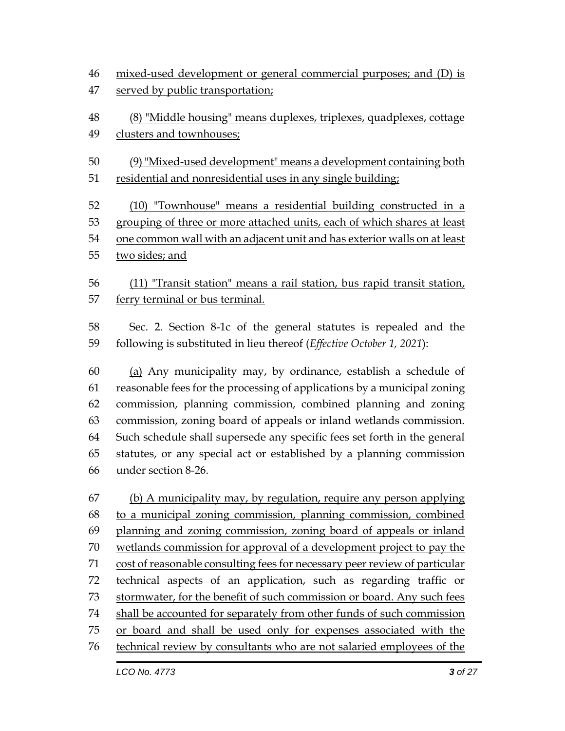mixed-used development or general commercial purposes; and (D) is served by public transportation;

 (8) "Middle housing" means duplexes, triplexes, quadplexes, cottage clusters and townhouses;

 (9) "Mixed-used development" means a development containing both residential and nonresidential uses in any single building;

 (10) "Townhouse" means a residential building constructed in a grouping of three or more attached units, each of which shares at least one common wall with an adjacent unit and has exterior walls on at least two sides; and

 (11) "Transit station" means a rail station, bus rapid transit station, ferry terminal or bus terminal.

 Sec. 2. Section 8-1c of the general statutes is repealed and the following is substituted in lieu thereof (*Effective October 1, 2021*):

 (a) Any municipality may, by ordinance, establish a schedule of reasonable fees for the processing of applications by a municipal zoning commission, planning commission, combined planning and zoning commission, zoning board of appeals or inland wetlands commission. Such schedule shall supersede any specific fees set forth in the general statutes, or any special act or established by a planning commission under section 8-26.

 (b) A municipality may, by regulation, require any person applying to a municipal zoning commission, planning commission, combined planning and zoning commission, zoning board of appeals or inland wetlands commission for approval of a development project to pay the cost of reasonable consulting fees for necessary peer review of particular technical aspects of an application, such as regarding traffic or stormwater, for the benefit of such commission or board. Any such fees shall be accounted for separately from other funds of such commission or board and shall be used only for expenses associated with the technical review by consultants who are not salaried employees of the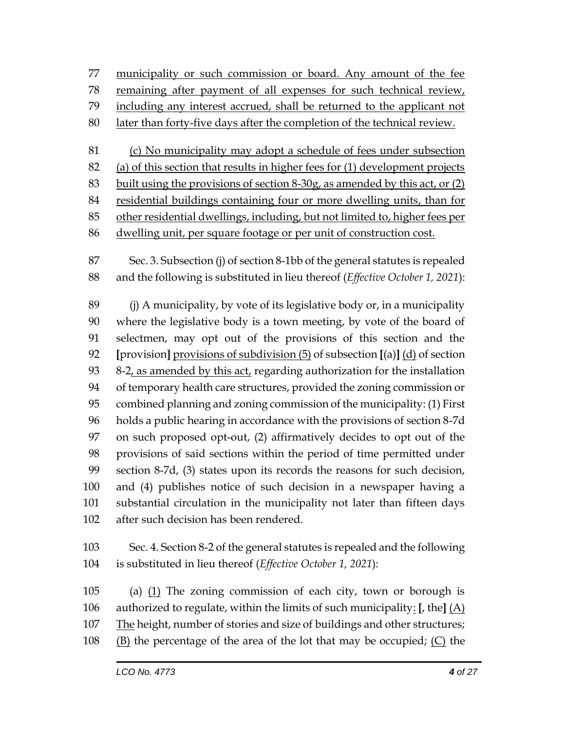municipality or such commission or board. Any amount of the fee remaining after payment of all expenses for such technical review, including any interest accrued, shall be returned to the applicant not later than forty-five days after the completion of the technical review. (c) No municipality may adopt a schedule of fees under subsection

 (a) of this section that results in higher fees for (1) development projects built using the provisions of section 8-30g, as amended by this act, or (2)

residential buildings containing four or more dwelling units, than for

other residential dwellings, including, but not limited to, higher fees per

dwelling unit, per square footage or per unit of construction cost.

 Sec. 3. Subsection (j) of section 8-1bb of the general statutes is repealed and the following is substituted in lieu thereof (*Effective October 1, 2021*):

 (j) A municipality, by vote of its legislative body or, in a municipality where the legislative body is a town meeting, by vote of the board of selectmen, may opt out of the provisions of this section and the **[**provision**]** provisions of subdivision (5) of subsection **[**(a)**]** (d) of section 8-2, as amended by this act, regarding authorization for the installation of temporary health care structures, provided the zoning commission or combined planning and zoning commission of the municipality: (1) First holds a public hearing in accordance with the provisions of section 8-7d on such proposed opt-out, (2) affirmatively decides to opt out of the provisions of said sections within the period of time permitted under section 8-7d, (3) states upon its records the reasons for such decision, and (4) publishes notice of such decision in a newspaper having a substantial circulation in the municipality not later than fifteen days after such decision has been rendered.

 Sec. 4. Section 8-2 of the general statutes is repealed and the following is substituted in lieu thereof (*Effective October 1, 2021*):

 (a) (1) The zoning commission of each city, town or borough is authorized to regulate, within the limits of such municipality: **[**, the**]** (A) The height, number of stories and size of buildings and other structures; (B) the percentage of the area of the lot that may be occupied; (C) the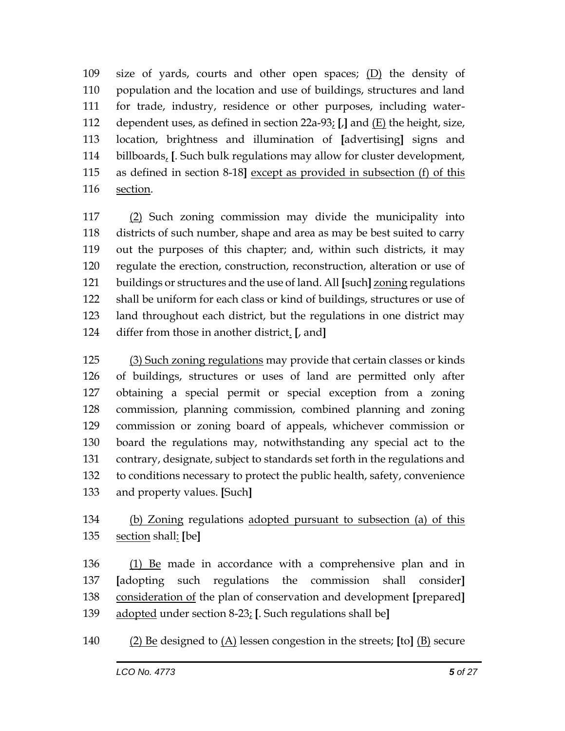size of yards, courts and other open spaces; (D) the density of population and the location and use of buildings, structures and land for trade, industry, residence or other purposes, including water- dependent uses, as defined in section 22a-93; **[**,**]** and (E) the height, size, location, brightness and illumination of **[**advertising**]** signs and billboards, **[**. Such bulk regulations may allow for cluster development, as defined in section 8-18**]** except as provided in subsection (f) of this section.

 (2) Such zoning commission may divide the municipality into districts of such number, shape and area as may be best suited to carry out the purposes of this chapter; and, within such districts, it may regulate the erection, construction, reconstruction, alteration or use of buildings or structures and the use of land. All **[**such**]** zoning regulations shall be uniform for each class or kind of buildings, structures or use of land throughout each district, but the regulations in one district may differ from those in another district. **[**, and**]**

 (3) Such zoning regulations may provide that certain classes or kinds of buildings, structures or uses of land are permitted only after obtaining a special permit or special exception from a zoning commission, planning commission, combined planning and zoning commission or zoning board of appeals, whichever commission or board the regulations may, notwithstanding any special act to the contrary, designate, subject to standards set forth in the regulations and to conditions necessary to protect the public health, safety, convenience and property values. **[**Such**]**

## (b) Zoning regulations adopted pursuant to subsection (a) of this section shall: **[**be**]**

136 (1) Be made in accordance with a comprehensive plan and in **[**adopting such regulations the commission shall consider**]** consideration of the plan of conservation and development **[**prepared**]** adopted under section 8-23; **[**. Such regulations shall be**]**

(2) Be designed to (A) lessen congestion in the streets; **[**to**]** (B) secure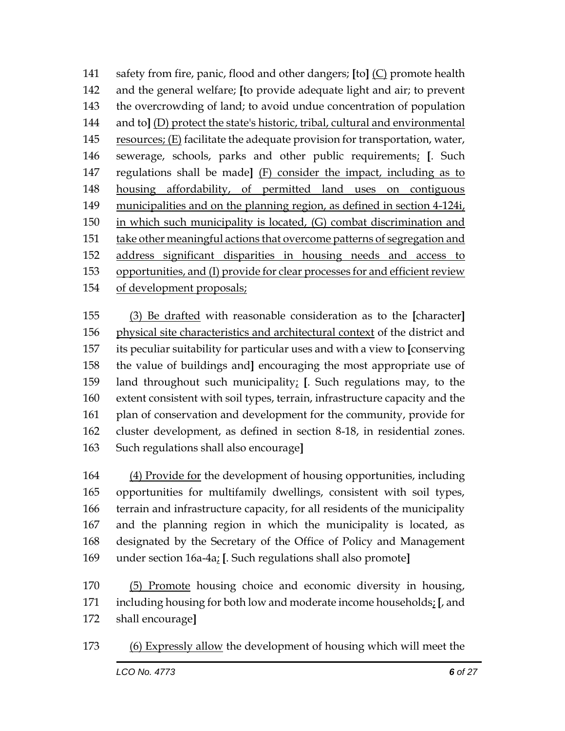safety from fire, panic, flood and other dangers; **[**to**]** (C) promote health and the general welfare; **[**to provide adequate light and air; to prevent the overcrowding of land; to avoid undue concentration of population and to**]** (D) protect the state's historic, tribal, cultural and environmental resources; (E) facilitate the adequate provision for transportation, water, sewerage, schools, parks and other public requirements; **[**. Such regulations shall be made**]** (F) consider the impact, including as to housing affordability, of permitted land uses on contiguous municipalities and on the planning region, as defined in section 4-124i, 150 in which such municipality is located, (G) combat discrimination and take other meaningful actions that overcome patterns of segregation and address significant disparities in housing needs and access to opportunities, and (I) provide for clear processes for and efficient review of development proposals;

 (3) Be drafted with reasonable consideration as to the **[**character**]** physical site characteristics and architectural context of the district and its peculiar suitability for particular uses and with a view to **[**conserving the value of buildings and**]** encouraging the most appropriate use of land throughout such municipality; **[**. Such regulations may, to the extent consistent with soil types, terrain, infrastructure capacity and the plan of conservation and development for the community, provide for cluster development, as defined in section 8-18, in residential zones. Such regulations shall also encourage**]**

 (4) Provide for the development of housing opportunities, including opportunities for multifamily dwellings, consistent with soil types, terrain and infrastructure capacity, for all residents of the municipality and the planning region in which the municipality is located, as designated by the Secretary of the Office of Policy and Management under section 16a-4a; **[**. Such regulations shall also promote**]**

 (5) Promote housing choice and economic diversity in housing, including housing for both low and moderate income households; **[**, and shall encourage**]**

(6) Expressly allow the development of housing which will meet the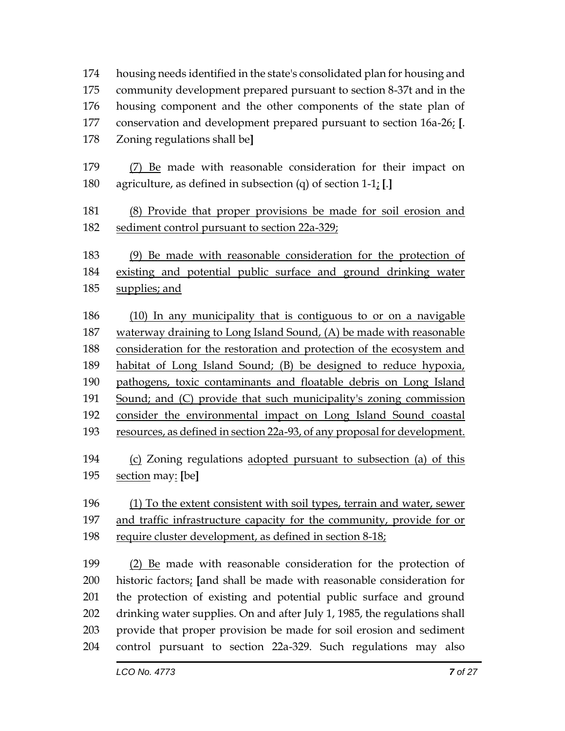housing needs identified in the state's consolidated plan for housing and community development prepared pursuant to section 8-37t and in the housing component and the other components of the state plan of conservation and development prepared pursuant to section 16a-26; **[**. Zoning regulations shall be**]**

 (7) Be made with reasonable consideration for their impact on agriculture, as defined in subsection (q) of section 1-1; **[**.**]**

 (8) Provide that proper provisions be made for soil erosion and sediment control pursuant to section 22a-329;

 (9) Be made with reasonable consideration for the protection of existing and potential public surface and ground drinking water supplies; and

 (10) In any municipality that is contiguous to or on a navigable 187 waterway draining to Long Island Sound, (A) be made with reasonable consideration for the restoration and protection of the ecosystem and habitat of Long Island Sound; (B) be designed to reduce hypoxia, pathogens, toxic contaminants and floatable debris on Long Island Sound; and (C) provide that such municipality's zoning commission consider the environmental impact on Long Island Sound coastal resources, as defined in section 22a-93, of any proposal for development. (c) Zoning regulations adopted pursuant to subsection (a) of this section may: **[**be**]** (1) To the extent consistent with soil types, terrain and water, sewer and traffic infrastructure capacity for the community, provide for or require cluster development, as defined in section 8-18; (2) Be made with reasonable consideration for the protection of historic factors; **[**and shall be made with reasonable consideration for the protection of existing and potential public surface and ground drinking water supplies. On and after July 1, 1985, the regulations shall provide that proper provision be made for soil erosion and sediment control pursuant to section 22a-329. Such regulations may also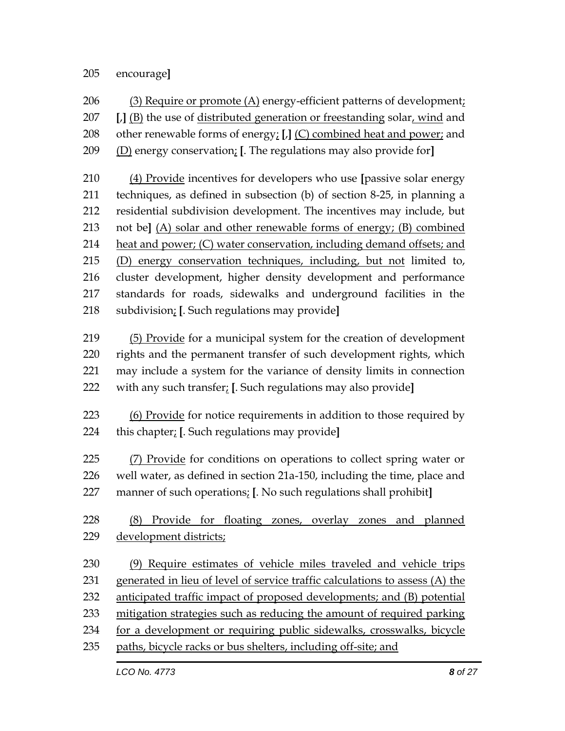#### encourage**]**

 (3) Require or promote (A) energy-efficient patterns of development; **[**,**]** (B) the use of distributed generation or freestanding solar, wind and other renewable forms of energy; **[**,**]** (C) combined heat and power; and (D) energy conservation; **[**. The regulations may also provide for**]**

 (4) Provide incentives for developers who use **[**passive solar energy techniques, as defined in subsection (b) of section 8-25, in planning a residential subdivision development. The incentives may include, but not be**]** (A) solar and other renewable forms of energy; (B) combined heat and power; (C) water conservation, including demand offsets; and (D) energy conservation techniques, including, but not limited to, cluster development, higher density development and performance standards for roads, sidewalks and underground facilities in the subdivision; **[**. Such regulations may provide**]**

 (5) Provide for a municipal system for the creation of development rights and the permanent transfer of such development rights, which may include a system for the variance of density limits in connection with any such transfer; **[**. Such regulations may also provide**]**

 (6) Provide for notice requirements in addition to those required by this chapter; **[**. Such regulations may provide**]**

225 (7) Provide for conditions on operations to collect spring water or well water, as defined in section 21a-150, including the time, place and manner of such operations; **[**. No such regulations shall prohibit**]**

 (8) Provide for floating zones, overlay zones and planned development districts;

 (9) Require estimates of vehicle miles traveled and vehicle trips generated in lieu of level of service traffic calculations to assess (A) the anticipated traffic impact of proposed developments; and (B) potential mitigation strategies such as reducing the amount of required parking for a development or requiring public sidewalks, crosswalks, bicycle paths, bicycle racks or bus shelters, including off-site; and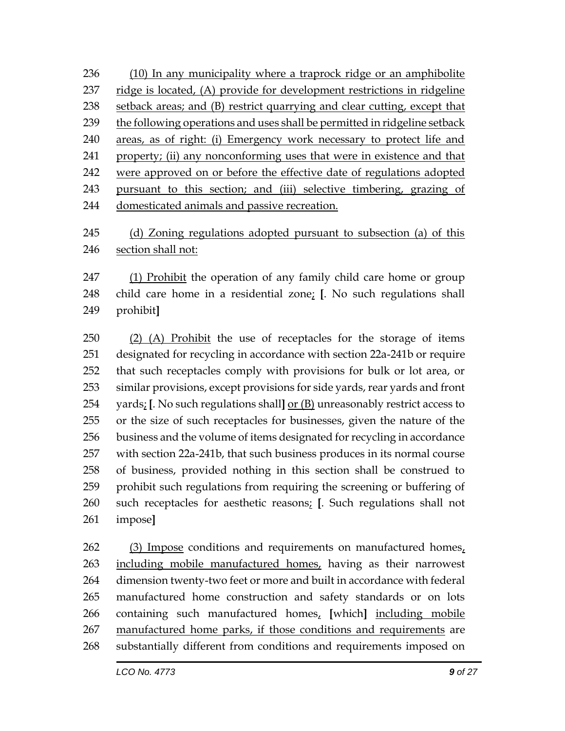(10) In any municipality where a traprock ridge or an amphibolite ridge is located, (A) provide for development restrictions in ridgeline setback areas; and (B) restrict quarrying and clear cutting, except that 239 the following operations and uses shall be permitted in ridgeline setback areas, as of right: (i) Emergency work necessary to protect life and property; (ii) any nonconforming uses that were in existence and that were approved on or before the effective date of regulations adopted pursuant to this section; and (iii) selective timbering, grazing of domesticated animals and passive recreation.

245 (d) Zoning regulations adopted pursuant to subsection (a) of this section shall not:

 (1) Prohibit the operation of any family child care home or group child care home in a residential zone; **[**. No such regulations shall prohibit**]**

250 (2) (A) Prohibit the use of receptacles for the storage of items designated for recycling in accordance with section 22a-241b or require that such receptacles comply with provisions for bulk or lot area, or similar provisions, except provisions for side yards, rear yards and front yards; **[**. No such regulations shall**]** or (B) unreasonably restrict access to or the size of such receptacles for businesses, given the nature of the business and the volume of items designated for recycling in accordance with section 22a-241b, that such business produces in its normal course of business, provided nothing in this section shall be construed to prohibit such regulations from requiring the screening or buffering of such receptacles for aesthetic reasons; **[**. Such regulations shall not impose**]**

 (3) Impose conditions and requirements on manufactured homes, including mobile manufactured homes, having as their narrowest dimension twenty-two feet or more and built in accordance with federal manufactured home construction and safety standards or on lots containing such manufactured homes, **[**which**]** including mobile manufactured home parks, if those conditions and requirements are substantially different from conditions and requirements imposed on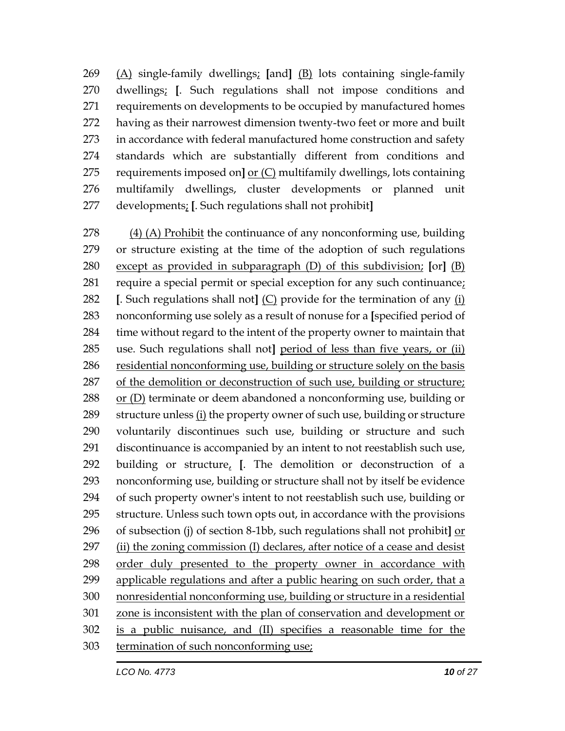(A) single-family dwellings; **[**and**]** (B) lots containing single-family dwellings; **[**. Such regulations shall not impose conditions and requirements on developments to be occupied by manufactured homes having as their narrowest dimension twenty-two feet or more and built in accordance with federal manufactured home construction and safety standards which are substantially different from conditions and requirements imposed on**]** or (C) multifamily dwellings, lots containing multifamily dwellings, cluster developments or planned unit developments; **[**. Such regulations shall not prohibit**]**

 (4) (A) Prohibit the continuance of any nonconforming use, building or structure existing at the time of the adoption of such regulations except as provided in subparagraph (D) of this subdivision; **[**or**]** (B) require a special permit or special exception for any such continuance; **[**. Such regulations shall not**]** (C) provide for the termination of any (i) nonconforming use solely as a result of nonuse for a **[**specified period of time without regard to the intent of the property owner to maintain that use. Such regulations shall not**]** period of less than five years, or (ii) residential nonconforming use, building or structure solely on the basis of the demolition or deconstruction of such use, building or structure; or (D) terminate or deem abandoned a nonconforming use, building or 289 structure unless  $(i)$  the property owner of such use, building or structure voluntarily discontinues such use, building or structure and such discontinuance is accompanied by an intent to not reestablish such use, building or structure, **[**. The demolition or deconstruction of a nonconforming use, building or structure shall not by itself be evidence of such property owner's intent to not reestablish such use, building or structure. Unless such town opts out, in accordance with the provisions of subsection (j) of section 8-1bb, such regulations shall not prohibit**]** or (ii) the zoning commission (I) declares, after notice of a cease and desist order duly presented to the property owner in accordance with applicable regulations and after a public hearing on such order, that a nonresidential nonconforming use, building or structure in a residential zone is inconsistent with the plan of conservation and development or is a public nuisance, and (II) specifies a reasonable time for the termination of such nonconforming use;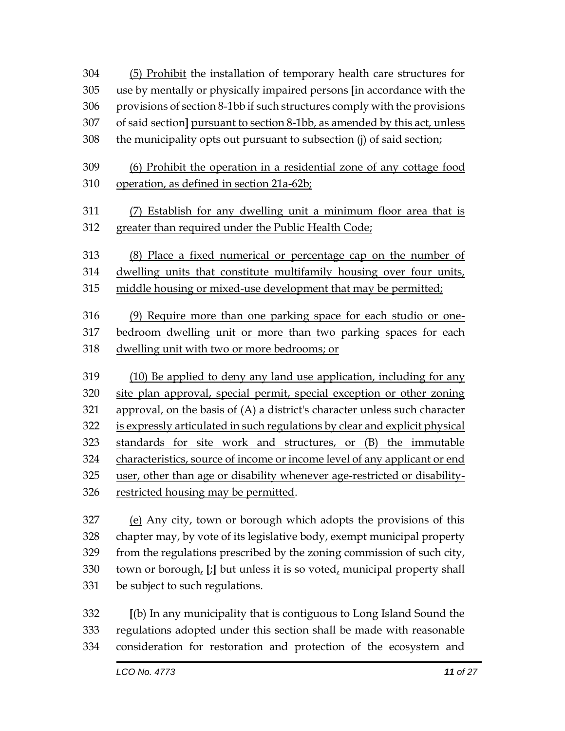(5) Prohibit the installation of temporary health care structures for use by mentally or physically impaired persons **[**in accordance with the provisions of section 8-1bb if such structures comply with the provisions of said section**]** pursuant to section 8-1bb, as amended by this act, unless

308 the municipality opts out pursuant to subsection (j) of said section;

 (6) Prohibit the operation in a residential zone of any cottage food operation, as defined in section 21a-62b;

- (7) Establish for any dwelling unit a minimum floor area that is greater than required under the Public Health Code;
- (8) Place a fixed numerical or percentage cap on the number of
- dwelling units that constitute multifamily housing over four units,
- middle housing or mixed-use development that may be permitted;

 (9) Require more than one parking space for each studio or one- bedroom dwelling unit or more than two parking spaces for each dwelling unit with two or more bedrooms; or

 (10) Be applied to deny any land use application, including for any site plan approval, special permit, special exception or other zoning approval, on the basis of (A) a district's character unless such character is expressly articulated in such regulations by clear and explicit physical standards for site work and structures, or (B) the immutable characteristics, source of income or income level of any applicant or end user, other than age or disability whenever age-restricted or disability-restricted housing may be permitted.

 (e) Any city, town or borough which adopts the provisions of this chapter may, by vote of its legislative body, exempt municipal property from the regulations prescribed by the zoning commission of such city, town or borough, **[**;**]** but unless it is so voted, municipal property shall be subject to such regulations.

 **[**(b) In any municipality that is contiguous to Long Island Sound the regulations adopted under this section shall be made with reasonable consideration for restoration and protection of the ecosystem and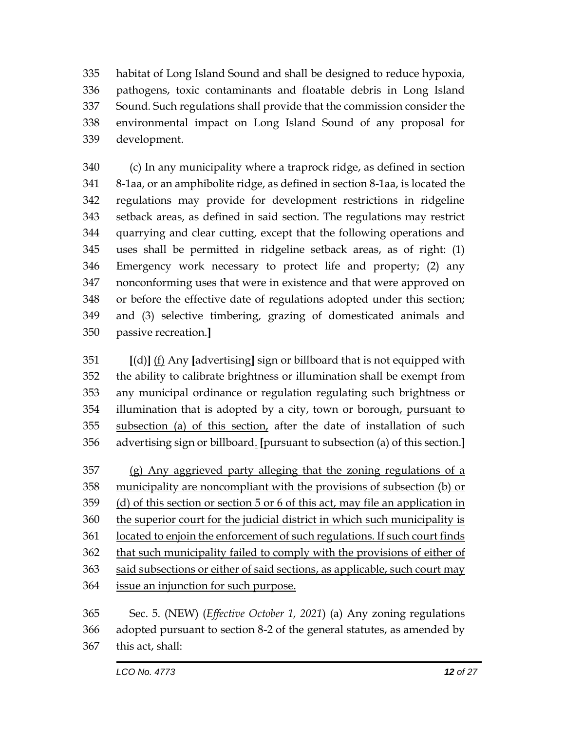habitat of Long Island Sound and shall be designed to reduce hypoxia, pathogens, toxic contaminants and floatable debris in Long Island Sound. Such regulations shall provide that the commission consider the environmental impact on Long Island Sound of any proposal for development.

 (c) In any municipality where a traprock ridge, as defined in section 8-1aa, or an amphibolite ridge, as defined in section 8-1aa, is located the regulations may provide for development restrictions in ridgeline setback areas, as defined in said section. The regulations may restrict quarrying and clear cutting, except that the following operations and uses shall be permitted in ridgeline setback areas, as of right: (1) Emergency work necessary to protect life and property; (2) any nonconforming uses that were in existence and that were approved on or before the effective date of regulations adopted under this section; and (3) selective timbering, grazing of domesticated animals and passive recreation.**]**

 **[**(d)**]** (f) Any **[**advertising**]** sign or billboard that is not equipped with the ability to calibrate brightness or illumination shall be exempt from any municipal ordinance or regulation regulating such brightness or 354 illumination that is adopted by a city, town or borough, pursuant to subsection (a) of this section, after the date of installation of such advertising sign or billboard. **[**pursuant to subsection (a) of this section.**]**

 (g) Any aggrieved party alleging that the zoning regulations of a municipality are noncompliant with the provisions of subsection (b) or (d) of this section or section 5 or 6 of this act, may file an application in the superior court for the judicial district in which such municipality is located to enjoin the enforcement of such regulations. If such court finds 362 that such municipality failed to comply with the provisions of either of said subsections or either of said sections, as applicable, such court may issue an injunction for such purpose.

 Sec. 5. (NEW) (*Effective October 1, 2021*) (a) Any zoning regulations adopted pursuant to section 8-2 of the general statutes, as amended by this act, shall: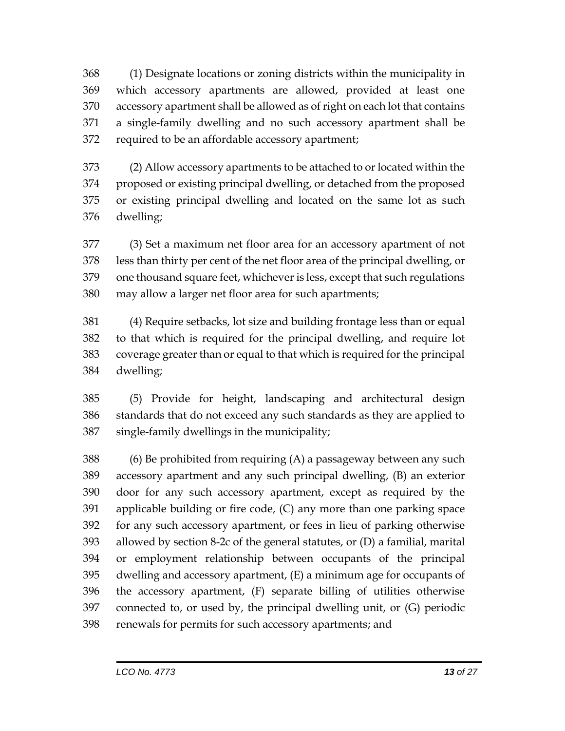(1) Designate locations or zoning districts within the municipality in which accessory apartments are allowed, provided at least one accessory apartment shall be allowed as of right on each lot that contains a single-family dwelling and no such accessory apartment shall be required to be an affordable accessory apartment;

 (2) Allow accessory apartments to be attached to or located within the proposed or existing principal dwelling, or detached from the proposed or existing principal dwelling and located on the same lot as such dwelling;

 (3) Set a maximum net floor area for an accessory apartment of not less than thirty per cent of the net floor area of the principal dwelling, or one thousand square feet, whichever is less, except that such regulations may allow a larger net floor area for such apartments;

 (4) Require setbacks, lot size and building frontage less than or equal to that which is required for the principal dwelling, and require lot coverage greater than or equal to that which is required for the principal dwelling;

 (5) Provide for height, landscaping and architectural design standards that do not exceed any such standards as they are applied to single-family dwellings in the municipality;

 (6) Be prohibited from requiring (A) a passageway between any such accessory apartment and any such principal dwelling, (B) an exterior door for any such accessory apartment, except as required by the applicable building or fire code, (C) any more than one parking space for any such accessory apartment, or fees in lieu of parking otherwise allowed by section 8-2c of the general statutes, or (D) a familial, marital or employment relationship between occupants of the principal dwelling and accessory apartment, (E) a minimum age for occupants of the accessory apartment, (F) separate billing of utilities otherwise connected to, or used by, the principal dwelling unit, or (G) periodic renewals for permits for such accessory apartments; and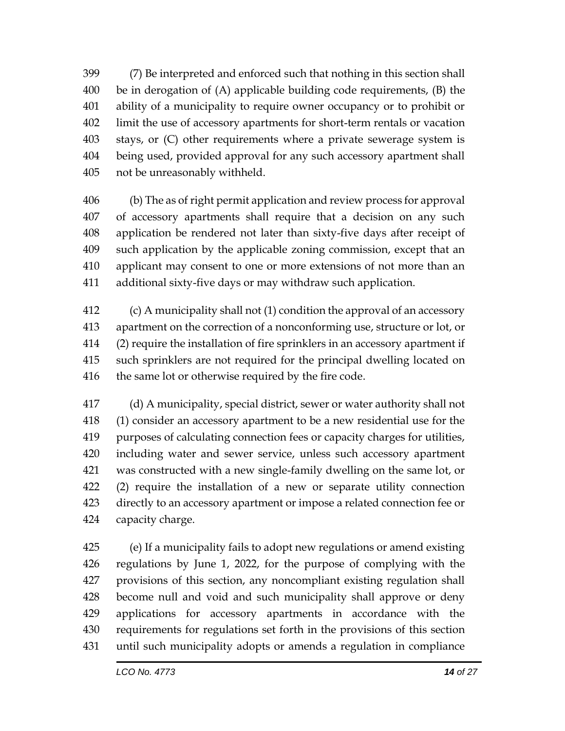(7) Be interpreted and enforced such that nothing in this section shall be in derogation of (A) applicable building code requirements, (B) the ability of a municipality to require owner occupancy or to prohibit or limit the use of accessory apartments for short-term rentals or vacation stays, or (C) other requirements where a private sewerage system is being used, provided approval for any such accessory apartment shall not be unreasonably withheld.

 (b) The as of right permit application and review process for approval of accessory apartments shall require that a decision on any such application be rendered not later than sixty-five days after receipt of such application by the applicable zoning commission, except that an applicant may consent to one or more extensions of not more than an additional sixty-five days or may withdraw such application.

 (c) A municipality shall not (1) condition the approval of an accessory apartment on the correction of a nonconforming use, structure or lot, or (2) require the installation of fire sprinklers in an accessory apartment if such sprinklers are not required for the principal dwelling located on 416 the same lot or otherwise required by the fire code.

 (d) A municipality, special district, sewer or water authority shall not (1) consider an accessory apartment to be a new residential use for the purposes of calculating connection fees or capacity charges for utilities, including water and sewer service, unless such accessory apartment was constructed with a new single-family dwelling on the same lot, or (2) require the installation of a new or separate utility connection directly to an accessory apartment or impose a related connection fee or capacity charge.

 (e) If a municipality fails to adopt new regulations or amend existing regulations by June 1, 2022, for the purpose of complying with the provisions of this section, any noncompliant existing regulation shall become null and void and such municipality shall approve or deny applications for accessory apartments in accordance with the requirements for regulations set forth in the provisions of this section until such municipality adopts or amends a regulation in compliance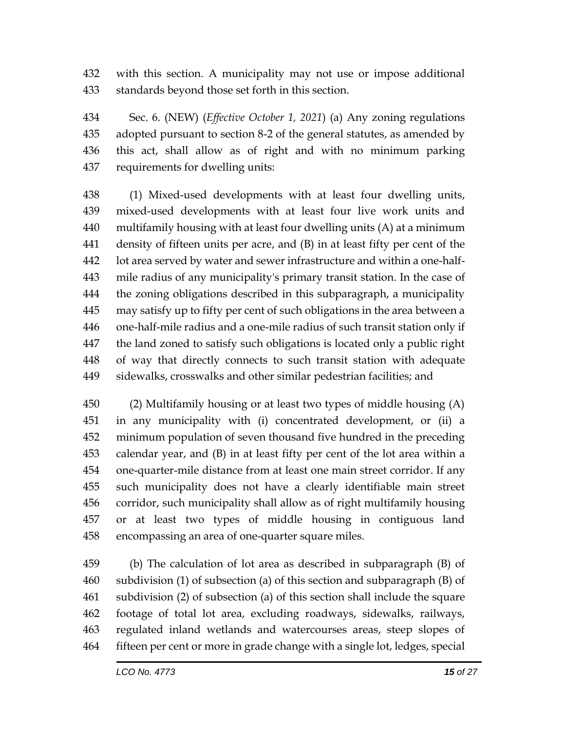with this section. A municipality may not use or impose additional standards beyond those set forth in this section.

 Sec. 6. (NEW) (*Effective October 1, 2021*) (a) Any zoning regulations adopted pursuant to section 8-2 of the general statutes, as amended by this act, shall allow as of right and with no minimum parking requirements for dwelling units:

 (1) Mixed-used developments with at least four dwelling units, mixed-used developments with at least four live work units and multifamily housing with at least four dwelling units (A) at a minimum density of fifteen units per acre, and (B) in at least fifty per cent of the lot area served by water and sewer infrastructure and within a one-half- mile radius of any municipality's primary transit station. In the case of the zoning obligations described in this subparagraph, a municipality may satisfy up to fifty per cent of such obligations in the area between a one-half-mile radius and a one-mile radius of such transit station only if the land zoned to satisfy such obligations is located only a public right of way that directly connects to such transit station with adequate sidewalks, crosswalks and other similar pedestrian facilities; and

 (2) Multifamily housing or at least two types of middle housing (A) in any municipality with (i) concentrated development, or (ii) a minimum population of seven thousand five hundred in the preceding calendar year, and (B) in at least fifty per cent of the lot area within a one-quarter-mile distance from at least one main street corridor. If any such municipality does not have a clearly identifiable main street corridor, such municipality shall allow as of right multifamily housing or at least two types of middle housing in contiguous land encompassing an area of one-quarter square miles.

 (b) The calculation of lot area as described in subparagraph (B) of subdivision (1) of subsection (a) of this section and subparagraph (B) of subdivision (2) of subsection (a) of this section shall include the square footage of total lot area, excluding roadways, sidewalks, railways, regulated inland wetlands and watercourses areas, steep slopes of fifteen per cent or more in grade change with a single lot, ledges, special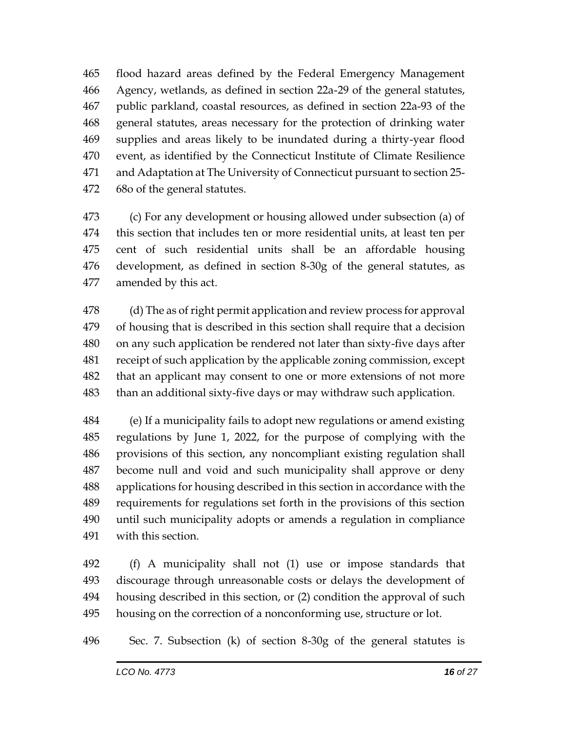flood hazard areas defined by the Federal Emergency Management Agency, wetlands, as defined in section 22a-29 of the general statutes, public parkland, coastal resources, as defined in section 22a-93 of the general statutes, areas necessary for the protection of drinking water supplies and areas likely to be inundated during a thirty-year flood event, as identified by the Connecticut Institute of Climate Resilience and Adaptation at The University of Connecticut pursuant to section 25- 68o of the general statutes.

 (c) For any development or housing allowed under subsection (a) of this section that includes ten or more residential units, at least ten per cent of such residential units shall be an affordable housing development, as defined in section 8-30g of the general statutes, as amended by this act.

 (d) The as of right permit application and review process for approval of housing that is described in this section shall require that a decision on any such application be rendered not later than sixty-five days after receipt of such application by the applicable zoning commission, except that an applicant may consent to one or more extensions of not more than an additional sixty-five days or may withdraw such application.

 (e) If a municipality fails to adopt new regulations or amend existing regulations by June 1, 2022, for the purpose of complying with the provisions of this section, any noncompliant existing regulation shall become null and void and such municipality shall approve or deny applications for housing described in this section in accordance with the requirements for regulations set forth in the provisions of this section until such municipality adopts or amends a regulation in compliance with this section.

 (f) A municipality shall not (1) use or impose standards that discourage through unreasonable costs or delays the development of housing described in this section, or (2) condition the approval of such housing on the correction of a nonconforming use, structure or lot.

Sec. 7. Subsection (k) of section 8-30g of the general statutes is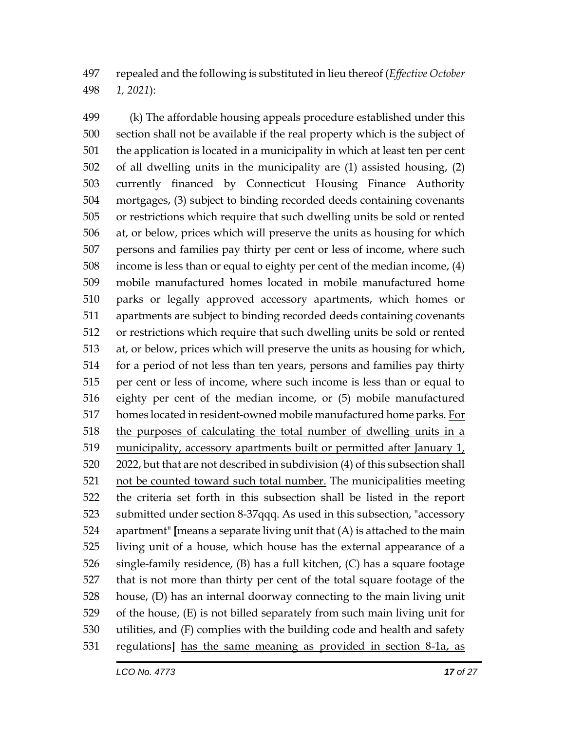repealed and the following is substituted in lieu thereof (*Effective October 1, 2021*):

 (k) The affordable housing appeals procedure established under this section shall not be available if the real property which is the subject of the application is located in a municipality in which at least ten per cent of all dwelling units in the municipality are (1) assisted housing, (2) currently financed by Connecticut Housing Finance Authority mortgages, (3) subject to binding recorded deeds containing covenants or restrictions which require that such dwelling units be sold or rented at, or below, prices which will preserve the units as housing for which persons and families pay thirty per cent or less of income, where such income is less than or equal to eighty per cent of the median income, (4) mobile manufactured homes located in mobile manufactured home parks or legally approved accessory apartments, which homes or apartments are subject to binding recorded deeds containing covenants or restrictions which require that such dwelling units be sold or rented at, or below, prices which will preserve the units as housing for which, for a period of not less than ten years, persons and families pay thirty per cent or less of income, where such income is less than or equal to eighty per cent of the median income, or (5) mobile manufactured 517 homes located in resident-owned mobile manufactured home parks. For 518 the purposes of calculating the total number of dwelling units in a municipality, accessory apartments built or permitted after January 1, 2022, but that are not described in subdivision (4) of this subsection shall not be counted toward such total number. The municipalities meeting the criteria set forth in this subsection shall be listed in the report submitted under section 8-37qqq. As used in this subsection, "accessory apartment" **[**means a separate living unit that (A) is attached to the main living unit of a house, which house has the external appearance of a single-family residence, (B) has a full kitchen, (C) has a square footage that is not more than thirty per cent of the total square footage of the house, (D) has an internal doorway connecting to the main living unit of the house, (E) is not billed separately from such main living unit for utilities, and (F) complies with the building code and health and safety regulations**]** has the same meaning as provided in section 8-1a, as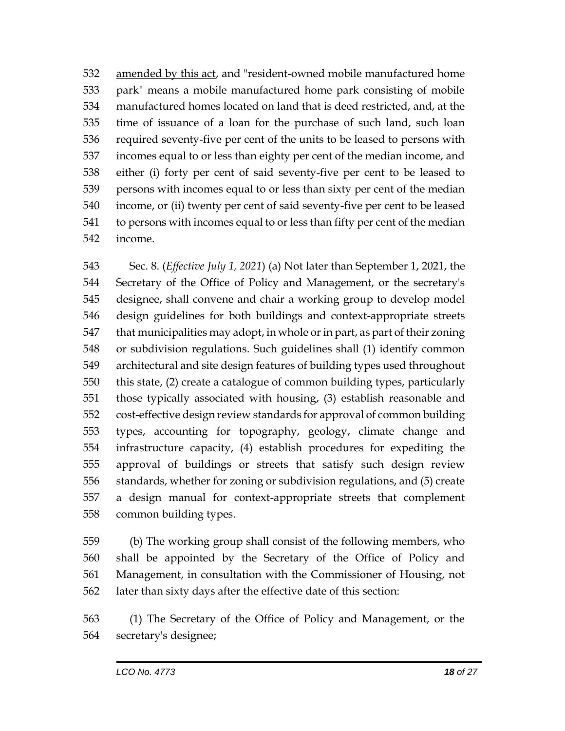amended by this act, and "resident-owned mobile manufactured home park" means a mobile manufactured home park consisting of mobile manufactured homes located on land that is deed restricted, and, at the time of issuance of a loan for the purchase of such land, such loan required seventy-five per cent of the units to be leased to persons with incomes equal to or less than eighty per cent of the median income, and either (i) forty per cent of said seventy-five per cent to be leased to persons with incomes equal to or less than sixty per cent of the median income, or (ii) twenty per cent of said seventy-five per cent to be leased to persons with incomes equal to or less than fifty per cent of the median income.

 Sec. 8. (*Effective July 1, 2021*) (a) Not later than September 1, 2021, the Secretary of the Office of Policy and Management, or the secretary's designee, shall convene and chair a working group to develop model design guidelines for both buildings and context-appropriate streets that municipalities may adopt, in whole or in part, as part of their zoning or subdivision regulations. Such guidelines shall (1) identify common architectural and site design features of building types used throughout this state, (2) create a catalogue of common building types, particularly those typically associated with housing, (3) establish reasonable and cost-effective design review standards for approval of common building types, accounting for topography, geology, climate change and infrastructure capacity, (4) establish procedures for expediting the approval of buildings or streets that satisfy such design review standards, whether for zoning or subdivision regulations, and (5) create a design manual for context-appropriate streets that complement common building types.

 (b) The working group shall consist of the following members, who shall be appointed by the Secretary of the Office of Policy and Management, in consultation with the Commissioner of Housing, not later than sixty days after the effective date of this section:

 (1) The Secretary of the Office of Policy and Management, or the secretary's designee;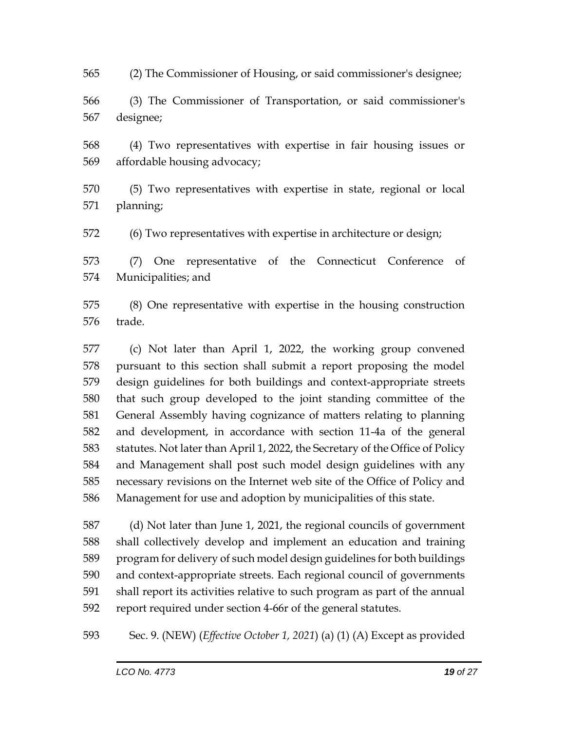(2) The Commissioner of Housing, or said commissioner's designee;

 (3) The Commissioner of Transportation, or said commissioner's designee;

 (4) Two representatives with expertise in fair housing issues or affordable housing advocacy;

 (5) Two representatives with expertise in state, regional or local planning;

(6) Two representatives with expertise in architecture or design;

 (7) One representative of the Connecticut Conference of Municipalities; and

 (8) One representative with expertise in the housing construction trade.

 (c) Not later than April 1, 2022, the working group convened pursuant to this section shall submit a report proposing the model design guidelines for both buildings and context-appropriate streets that such group developed to the joint standing committee of the General Assembly having cognizance of matters relating to planning and development, in accordance with section 11-4a of the general statutes. Not later than April 1, 2022, the Secretary of the Office of Policy and Management shall post such model design guidelines with any necessary revisions on the Internet web site of the Office of Policy and Management for use and adoption by municipalities of this state.

 (d) Not later than June 1, 2021, the regional councils of government shall collectively develop and implement an education and training program for delivery of such model design guidelines for both buildings and context-appropriate streets. Each regional council of governments shall report its activities relative to such program as part of the annual report required under section 4-66r of the general statutes.

Sec. 9. (NEW) (*Effective October 1, 2021*) (a) (1) (A) Except as provided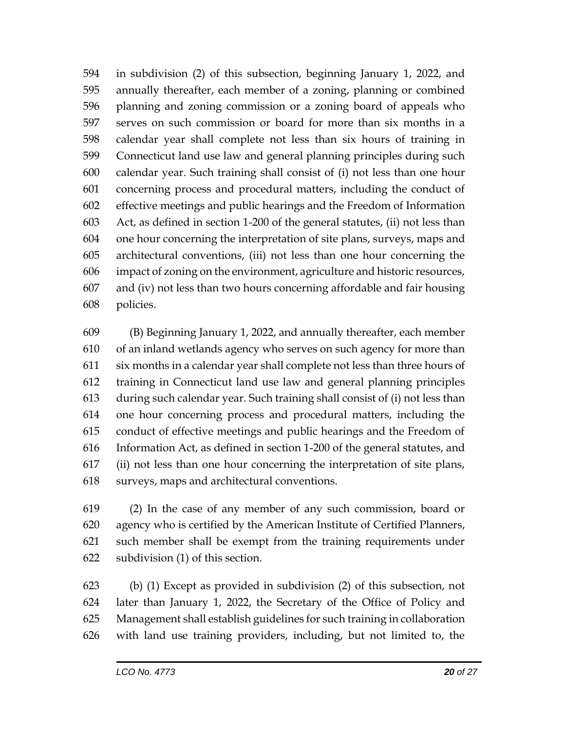in subdivision (2) of this subsection, beginning January 1, 2022, and annually thereafter, each member of a zoning, planning or combined planning and zoning commission or a zoning board of appeals who serves on such commission or board for more than six months in a calendar year shall complete not less than six hours of training in Connecticut land use law and general planning principles during such calendar year. Such training shall consist of (i) not less than one hour concerning process and procedural matters, including the conduct of effective meetings and public hearings and the Freedom of Information Act, as defined in section 1-200 of the general statutes, (ii) not less than one hour concerning the interpretation of site plans, surveys, maps and architectural conventions, (iii) not less than one hour concerning the impact of zoning on the environment, agriculture and historic resources, and (iv) not less than two hours concerning affordable and fair housing policies.

 (B) Beginning January 1, 2022, and annually thereafter, each member of an inland wetlands agency who serves on such agency for more than six months in a calendar year shall complete not less than three hours of training in Connecticut land use law and general planning principles during such calendar year. Such training shall consist of (i) not less than one hour concerning process and procedural matters, including the conduct of effective meetings and public hearings and the Freedom of Information Act, as defined in section 1-200 of the general statutes, and (ii) not less than one hour concerning the interpretation of site plans, surveys, maps and architectural conventions.

 (2) In the case of any member of any such commission, board or agency who is certified by the American Institute of Certified Planners, such member shall be exempt from the training requirements under subdivision (1) of this section.

 (b) (1) Except as provided in subdivision (2) of this subsection, not later than January 1, 2022, the Secretary of the Office of Policy and Management shall establish guidelines for such training in collaboration with land use training providers, including, but not limited to, the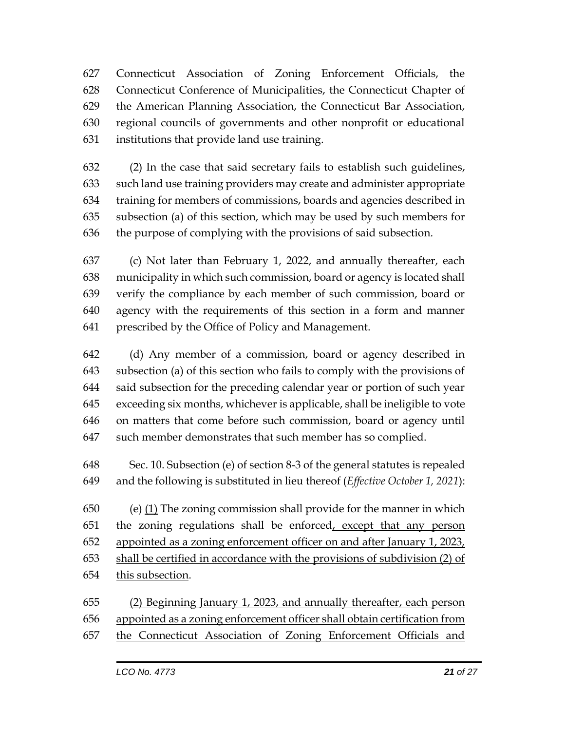Connecticut Association of Zoning Enforcement Officials, the Connecticut Conference of Municipalities, the Connecticut Chapter of the American Planning Association, the Connecticut Bar Association, regional councils of governments and other nonprofit or educational institutions that provide land use training.

 (2) In the case that said secretary fails to establish such guidelines, such land use training providers may create and administer appropriate training for members of commissions, boards and agencies described in subsection (a) of this section, which may be used by such members for the purpose of complying with the provisions of said subsection.

 (c) Not later than February 1, 2022, and annually thereafter, each municipality in which such commission, board or agency is located shall verify the compliance by each member of such commission, board or agency with the requirements of this section in a form and manner prescribed by the Office of Policy and Management.

 (d) Any member of a commission, board or agency described in subsection (a) of this section who fails to comply with the provisions of said subsection for the preceding calendar year or portion of such year exceeding six months, whichever is applicable, shall be ineligible to vote on matters that come before such commission, board or agency until such member demonstrates that such member has so complied.

 Sec. 10. Subsection (e) of section 8-3 of the general statutes is repealed and the following is substituted in lieu thereof (*Effective October 1, 2021*):

 (e) (1) The zoning commission shall provide for the manner in which the zoning regulations shall be enforced, except that any person appointed as a zoning enforcement officer on and after January 1, 2023, shall be certified in accordance with the provisions of subdivision (2) of this subsection.

 (2) Beginning January 1, 2023, and annually thereafter, each person appointed as a zoning enforcement officer shall obtain certification from the Connecticut Association of Zoning Enforcement Officials and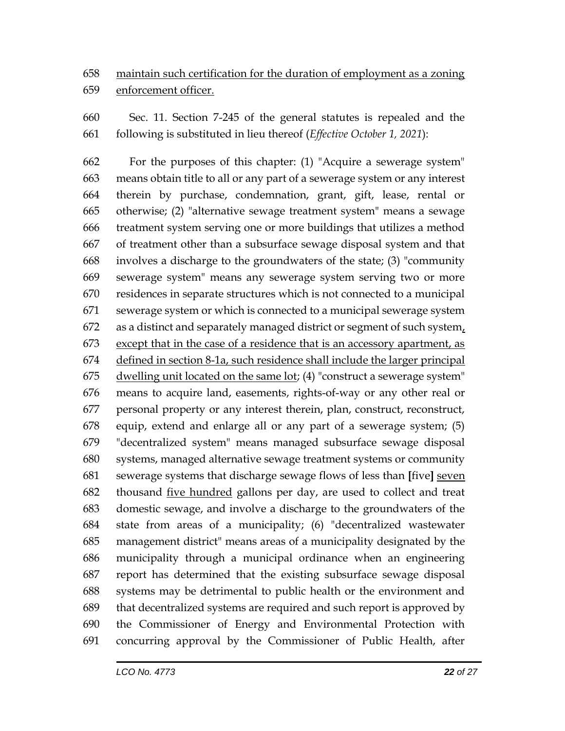## maintain such certification for the duration of employment as a zoning enforcement officer.

 Sec. 11. Section 7-245 of the general statutes is repealed and the following is substituted in lieu thereof (*Effective October 1, 2021*):

 For the purposes of this chapter: (1) "Acquire a sewerage system" means obtain title to all or any part of a sewerage system or any interest therein by purchase, condemnation, grant, gift, lease, rental or otherwise; (2) "alternative sewage treatment system" means a sewage treatment system serving one or more buildings that utilizes a method of treatment other than a subsurface sewage disposal system and that involves a discharge to the groundwaters of the state; (3) "community sewerage system" means any sewerage system serving two or more residences in separate structures which is not connected to a municipal sewerage system or which is connected to a municipal sewerage system as a distinct and separately managed district or segment of such system, except that in the case of a residence that is an accessory apartment, as defined in section 8-1a, such residence shall include the larger principal dwelling unit located on the same lot; (4) "construct a sewerage system" means to acquire land, easements, rights-of-way or any other real or personal property or any interest therein, plan, construct, reconstruct, equip, extend and enlarge all or any part of a sewerage system; (5) "decentralized system" means managed subsurface sewage disposal systems, managed alternative sewage treatment systems or community sewerage systems that discharge sewage flows of less than **[**five**]** seven thousand five hundred gallons per day, are used to collect and treat domestic sewage, and involve a discharge to the groundwaters of the state from areas of a municipality; (6) "decentralized wastewater management district" means areas of a municipality designated by the municipality through a municipal ordinance when an engineering report has determined that the existing subsurface sewage disposal systems may be detrimental to public health or the environment and that decentralized systems are required and such report is approved by the Commissioner of Energy and Environmental Protection with concurring approval by the Commissioner of Public Health, after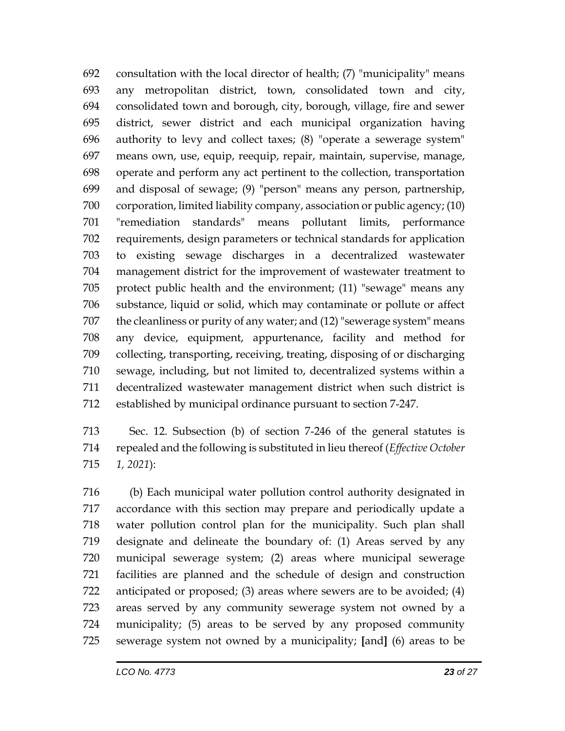consultation with the local director of health; (7) "municipality" means any metropolitan district, town, consolidated town and city, consolidated town and borough, city, borough, village, fire and sewer district, sewer district and each municipal organization having authority to levy and collect taxes; (8) "operate a sewerage system" means own, use, equip, reequip, repair, maintain, supervise, manage, operate and perform any act pertinent to the collection, transportation and disposal of sewage; (9) "person" means any person, partnership, corporation, limited liability company, association or public agency; (10) "remediation standards" means pollutant limits, performance requirements, design parameters or technical standards for application to existing sewage discharges in a decentralized wastewater management district for the improvement of wastewater treatment to protect public health and the environment; (11) "sewage" means any substance, liquid or solid, which may contaminate or pollute or affect the cleanliness or purity of any water; and (12) "sewerage system" means any device, equipment, appurtenance, facility and method for collecting, transporting, receiving, treating, disposing of or discharging sewage, including, but not limited to, decentralized systems within a decentralized wastewater management district when such district is established by municipal ordinance pursuant to section 7-247.

 Sec. 12. Subsection (b) of section 7-246 of the general statutes is repealed and the following is substituted in lieu thereof (*Effective October 1, 2021*):

 (b) Each municipal water pollution control authority designated in accordance with this section may prepare and periodically update a water pollution control plan for the municipality. Such plan shall designate and delineate the boundary of: (1) Areas served by any municipal sewerage system; (2) areas where municipal sewerage facilities are planned and the schedule of design and construction anticipated or proposed; (3) areas where sewers are to be avoided; (4) areas served by any community sewerage system not owned by a municipality; (5) areas to be served by any proposed community sewerage system not owned by a municipality; **[**and**]** (6) areas to be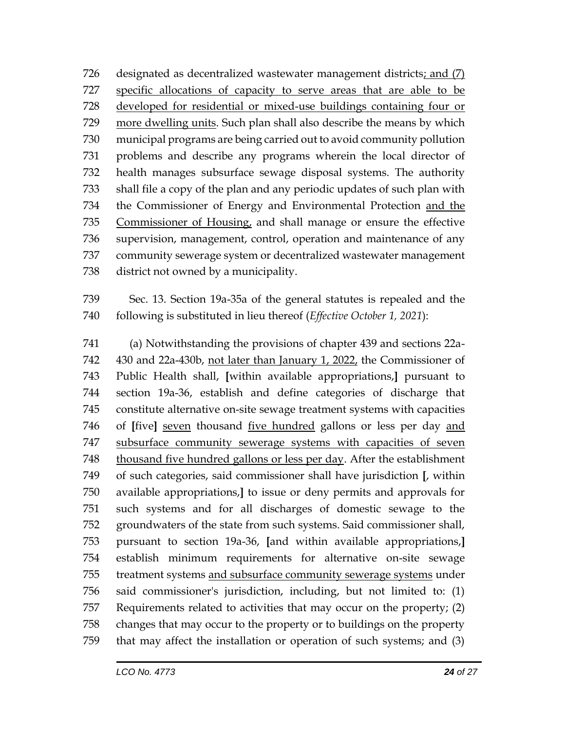designated as decentralized wastewater management districts; and (7) specific allocations of capacity to serve areas that are able to be developed for residential or mixed-use buildings containing four or more dwelling units. Such plan shall also describe the means by which municipal programs are being carried out to avoid community pollution problems and describe any programs wherein the local director of health manages subsurface sewage disposal systems. The authority shall file a copy of the plan and any periodic updates of such plan with the Commissioner of Energy and Environmental Protection and the 735 Commissioner of Housing, and shall manage or ensure the effective supervision, management, control, operation and maintenance of any community sewerage system or decentralized wastewater management district not owned by a municipality.

 Sec. 13. Section 19a-35a of the general statutes is repealed and the following is substituted in lieu thereof (*Effective October 1, 2021*):

 (a) Notwithstanding the provisions of chapter 439 and sections 22a-742 430 and 22a-430b, not later than January 1, 2022, the Commissioner of Public Health shall, **[**within available appropriations,**]** pursuant to section 19a-36, establish and define categories of discharge that constitute alternative on-site sewage treatment systems with capacities of **[**five**]** seven thousand five hundred gallons or less per day and subsurface community sewerage systems with capacities of seven thousand five hundred gallons or less per day. After the establishment of such categories, said commissioner shall have jurisdiction **[**, within available appropriations,**]** to issue or deny permits and approvals for such systems and for all discharges of domestic sewage to the groundwaters of the state from such systems. Said commissioner shall, pursuant to section 19a-36, **[**and within available appropriations,**]** establish minimum requirements for alternative on-site sewage treatment systems and subsurface community sewerage systems under said commissioner's jurisdiction, including, but not limited to: (1) Requirements related to activities that may occur on the property; (2) changes that may occur to the property or to buildings on the property that may affect the installation or operation of such systems; and (3)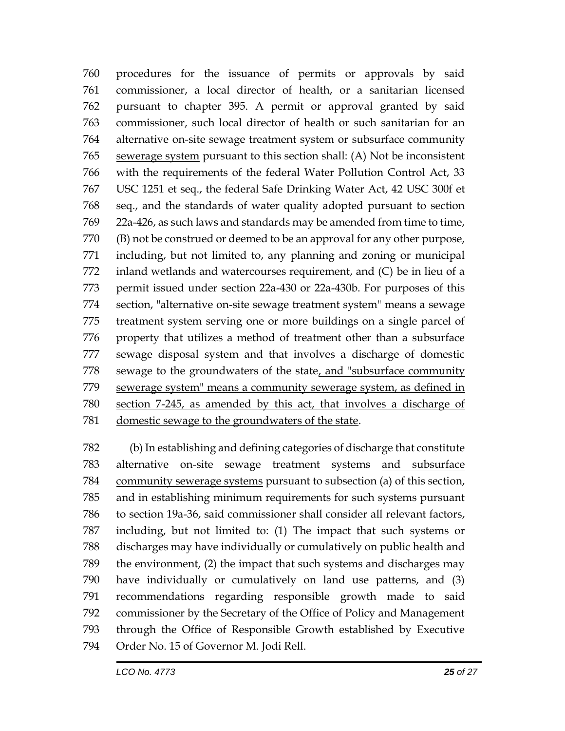procedures for the issuance of permits or approvals by said commissioner, a local director of health, or a sanitarian licensed pursuant to chapter 395. A permit or approval granted by said commissioner, such local director of health or such sanitarian for an alternative on-site sewage treatment system or subsurface community sewerage system pursuant to this section shall: (A) Not be inconsistent with the requirements of the federal Water Pollution Control Act, 33 USC 1251 et seq., the federal Safe Drinking Water Act, 42 USC 300f et seq., and the standards of water quality adopted pursuant to section 22a-426, as such laws and standards may be amended from time to time, (B) not be construed or deemed to be an approval for any other purpose, including, but not limited to, any planning and zoning or municipal inland wetlands and watercourses requirement, and (C) be in lieu of a permit issued under section 22a-430 or 22a-430b. For purposes of this section, "alternative on-site sewage treatment system" means a sewage treatment system serving one or more buildings on a single parcel of property that utilizes a method of treatment other than a subsurface sewage disposal system and that involves a discharge of domestic sewage to the groundwaters of the state, and "subsurface community sewerage system" means a community sewerage system, as defined in section 7-245, as amended by this act, that involves a discharge of domestic sewage to the groundwaters of the state.

 (b) In establishing and defining categories of discharge that constitute alternative on-site sewage treatment systems and subsurface community sewerage systems pursuant to subsection (a) of this section, and in establishing minimum requirements for such systems pursuant to section 19a-36, said commissioner shall consider all relevant factors, including, but not limited to: (1) The impact that such systems or discharges may have individually or cumulatively on public health and the environment, (2) the impact that such systems and discharges may have individually or cumulatively on land use patterns, and (3) recommendations regarding responsible growth made to said commissioner by the Secretary of the Office of Policy and Management through the Office of Responsible Growth established by Executive Order No. 15 of Governor M. Jodi Rell.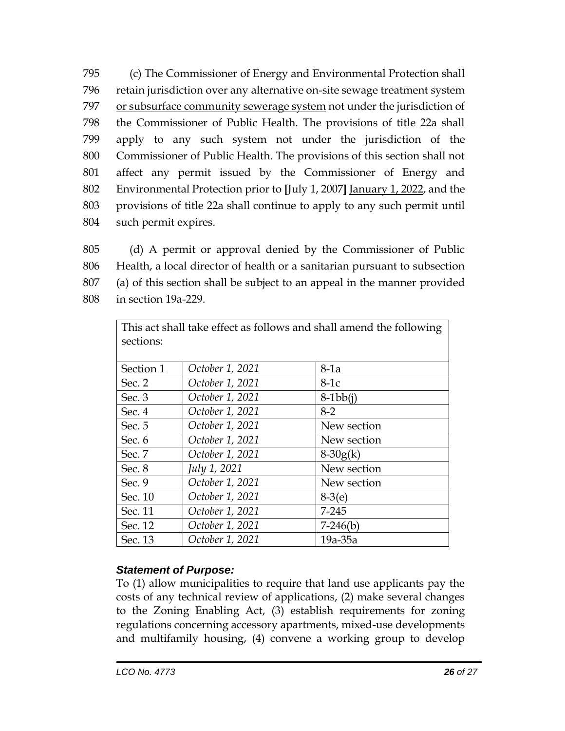(c) The Commissioner of Energy and Environmental Protection shall retain jurisdiction over any alternative on-site sewage treatment system or subsurface community sewerage system not under the jurisdiction of the Commissioner of Public Health. The provisions of title 22a shall apply to any such system not under the jurisdiction of the Commissioner of Public Health. The provisions of this section shall not affect any permit issued by the Commissioner of Energy and Environmental Protection prior to **[**July 1, 2007**]** January 1, 2022, and the provisions of title 22a shall continue to apply to any such permit until such permit expires.

 (d) A permit or approval denied by the Commissioner of Public Health, a local director of health or a sanitarian pursuant to subsection (a) of this section shall be subject to an appeal in the manner provided in section 19a-229.

| This act shall take effect as follows and shall amend the following |                 |             |
|---------------------------------------------------------------------|-----------------|-------------|
| sections:                                                           |                 |             |
|                                                                     |                 |             |
| Section 1                                                           | October 1, 2021 | $8-1a$      |
| Sec. 2                                                              | October 1, 2021 | $8-1c$      |
| Sec. $3$                                                            | October 1, 2021 | $8-1bb(i)$  |
| Sec. 4                                                              | October 1, 2021 | $8-2$       |
| Sec. 5                                                              | October 1, 2021 | New section |
| Sec. 6                                                              | October 1, 2021 | New section |
| Sec. 7                                                              | October 1, 2021 | $8-30g(k)$  |
| Sec. 8                                                              | July 1, 2021    | New section |
| Sec. 9                                                              | October 1, 2021 | New section |
| Sec. 10                                                             | October 1, 2021 | $8-3(e)$    |
| Sec. 11                                                             | October 1, 2021 | 7-245       |
| Sec. 12                                                             | October 1, 2021 | $7-246(b)$  |
| Sec. 13                                                             | October 1, 2021 | $19a-35a$   |

### *Statement of Purpose:*

To (1) allow municipalities to require that land use applicants pay the costs of any technical review of applications, (2) make several changes to the Zoning Enabling Act, (3) establish requirements for zoning regulations concerning accessory apartments, mixed-use developments and multifamily housing, (4) convene a working group to develop